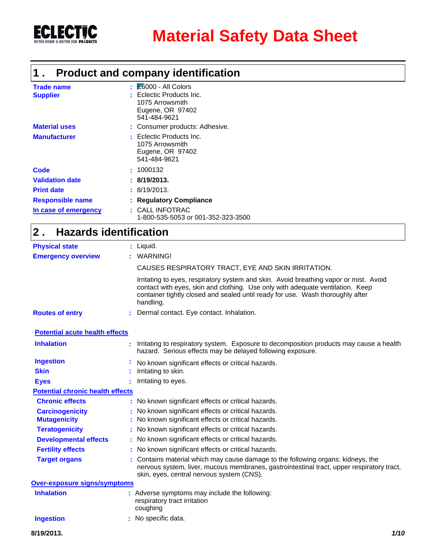

### **Product and company identification 1 .**

| <b>Trade name</b><br><b>Supplier</b> | $\mathsf{E}$ $\mathsf{E}$ 6000 - All Colors<br>: Eclectic Products Inc.<br>1075 Arrowsmith<br>Eugene, OR 97402<br>541-484-9621 |
|--------------------------------------|--------------------------------------------------------------------------------------------------------------------------------|
| <b>Material uses</b>                 | : Consumer products: Adhesive.                                                                                                 |
| <b>Manufacturer</b>                  | : Eclectic Products Inc.<br>1075 Arrowsmith<br>Eugene, OR 97402<br>541-484-9621                                                |
| Code                                 | : 1000132                                                                                                                      |
| <b>Validation date</b>               | : 8/19/2013.                                                                                                                   |
| <b>Print date</b>                    | : 8/19/2013.                                                                                                                   |
| <b>Responsible name</b>              | : Regulatory Compliance                                                                                                        |
| In case of emergency                 | : CALL INFOTRAC<br>1-800-535-5053 or 001-352-323-3500                                                                          |

#### **Hazards identification 2 .**

| <b>Physical state</b>                   | : Liquid.                                                                                                                                                                                                                                                              |
|-----------------------------------------|------------------------------------------------------------------------------------------------------------------------------------------------------------------------------------------------------------------------------------------------------------------------|
| <b>Emergency overview</b>               | <b>WARNING!</b>                                                                                                                                                                                                                                                        |
|                                         | CAUSES RESPIRATORY TRACT, EYE AND SKIN IRRITATION.                                                                                                                                                                                                                     |
|                                         | Irritating to eyes, respiratory system and skin. Avoid breathing vapor or mist. Avoid<br>contact with eyes, skin and clothing. Use only with adequate ventilation. Keep<br>container tightly closed and sealed until ready for use. Wash thoroughly after<br>handling. |
| <b>Routes of entry</b>                  | Dermal contact. Eye contact. Inhalation.                                                                                                                                                                                                                               |
| <b>Potential acute health effects</b>   |                                                                                                                                                                                                                                                                        |
| <b>Inhalation</b>                       | Irritating to respiratory system. Exposure to decomposition products may cause a health<br>hazard. Serious effects may be delayed following exposure.                                                                                                                  |
| <b>Ingestion</b>                        | No known significant effects or critical hazards.                                                                                                                                                                                                                      |
| <b>Skin</b>                             | Irritating to skin.                                                                                                                                                                                                                                                    |
| <b>Eyes</b>                             | Irritating to eyes.                                                                                                                                                                                                                                                    |
| <b>Potential chronic health effects</b> |                                                                                                                                                                                                                                                                        |
| <b>Chronic effects</b>                  | : No known significant effects or critical hazards.                                                                                                                                                                                                                    |
| <b>Carcinogenicity</b>                  | No known significant effects or critical hazards.                                                                                                                                                                                                                      |
| <b>Mutagenicity</b>                     | No known significant effects or critical hazards.                                                                                                                                                                                                                      |
| <b>Teratogenicity</b>                   | No known significant effects or critical hazards.                                                                                                                                                                                                                      |
| <b>Developmental effects</b>            | : No known significant effects or critical hazards.                                                                                                                                                                                                                    |
| <b>Fertility effects</b>                | : No known significant effects or critical hazards.                                                                                                                                                                                                                    |
| <b>Target organs</b>                    | : Contains material which may cause damage to the following organs: kidneys, the<br>nervous system, liver, mucous membranes, gastrointestinal tract, upper respiratory tract,<br>skin, eyes, central nervous system (CNS).                                             |
| <b>Over-exposure signs/symptoms</b>     |                                                                                                                                                                                                                                                                        |
| <b>Inhalation</b>                       | : Adverse symptoms may include the following:<br>respiratory tract irritation<br>coughing                                                                                                                                                                              |
| <b>Ingestion</b>                        | No specific data.                                                                                                                                                                                                                                                      |
| 8/19/2013.                              | 1/10                                                                                                                                                                                                                                                                   |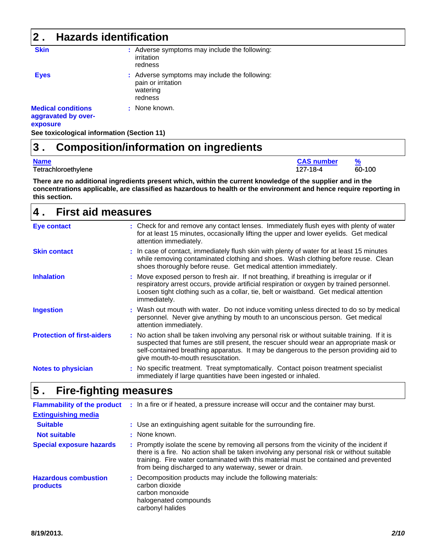| $\overline{\mathbf{2}}$ .                                    | <b>Hazards identification</b>              |                                                                                            |  |  |  |  |  |  |
|--------------------------------------------------------------|--------------------------------------------|--------------------------------------------------------------------------------------------|--|--|--|--|--|--|
| <b>Skin</b>                                                  |                                            | : Adverse symptoms may include the following:<br>irritation<br>redness                     |  |  |  |  |  |  |
| <b>Eyes</b>                                                  |                                            | : Adverse symptoms may include the following:<br>pain or irritation<br>watering<br>redness |  |  |  |  |  |  |
| <b>Medical conditions</b><br>aggravated by over-<br>exposure |                                            | : None known.                                                                              |  |  |  |  |  |  |
|                                                              | See toxicological information (Section 11) |                                                                                            |  |  |  |  |  |  |

#### **Composition/information on ingredients 3 .**

| <b>Name</b>         | <b>CAS number</b> |        |
|---------------------|-------------------|--------|
| Tetrachloroethylene | 127-18-4          | 60-100 |

**There are no additional ingredients present which, within the current knowledge of the supplier and in the concentrations applicable, are classified as hazardous to health or the environment and hence require reporting in this section.**

| <b>First aid measures</b><br>4.   |                                                                                                                                                                                                                                                                                                                         |  |  |  |  |  |
|-----------------------------------|-------------------------------------------------------------------------------------------------------------------------------------------------------------------------------------------------------------------------------------------------------------------------------------------------------------------------|--|--|--|--|--|
| <b>Eye contact</b>                | : Check for and remove any contact lenses. Immediately flush eyes with plenty of water<br>for at least 15 minutes, occasionally lifting the upper and lower eyelids. Get medical<br>attention immediately.                                                                                                              |  |  |  |  |  |
| <b>Skin contact</b>               | : In case of contact, immediately flush skin with plenty of water for at least 15 minutes<br>while removing contaminated clothing and shoes. Wash clothing before reuse. Clean<br>shoes thoroughly before reuse. Get medical attention immediately.                                                                     |  |  |  |  |  |
| <b>Inhalation</b>                 | : Move exposed person to fresh air. If not breathing, if breathing is irregular or if<br>respiratory arrest occurs, provide artificial respiration or oxygen by trained personnel.<br>Loosen tight clothing such as a collar, tie, belt or waistband. Get medical attention<br>immediately.                             |  |  |  |  |  |
| <b>Ingestion</b>                  | : Wash out mouth with water. Do not induce vomiting unless directed to do so by medical<br>personnel. Never give anything by mouth to an unconscious person. Get medical<br>attention immediately.                                                                                                                      |  |  |  |  |  |
| <b>Protection of first-aiders</b> | : No action shall be taken involving any personal risk or without suitable training. If it is<br>suspected that fumes are still present, the rescuer should wear an appropriate mask or<br>self-contained breathing apparatus. It may be dangerous to the person providing aid to<br>give mouth-to-mouth resuscitation. |  |  |  |  |  |
| <b>Notes to physician</b>         | : No specific treatment. Treat symptomatically. Contact poison treatment specialist<br>immediately if large quantities have been ingested or inhaled.                                                                                                                                                                   |  |  |  |  |  |

#### **Fire-fighting measures 5 .**

| <b>Flammability of the product</b><br><b>Extinguishing media</b> | : In a fire or if heated, a pressure increase will occur and the container may burst.                                                                                                                                                                                                                                                    |
|------------------------------------------------------------------|------------------------------------------------------------------------------------------------------------------------------------------------------------------------------------------------------------------------------------------------------------------------------------------------------------------------------------------|
| <b>Suitable</b>                                                  | : Use an extinguishing agent suitable for the surrounding fire.                                                                                                                                                                                                                                                                          |
| <b>Not suitable</b>                                              | : None known.                                                                                                                                                                                                                                                                                                                            |
| <b>Special exposure hazards</b>                                  | : Promptly isolate the scene by removing all persons from the vicinity of the incident if<br>there is a fire. No action shall be taken involving any personal risk or without suitable<br>training. Fire water contaminated with this material must be contained and prevented<br>from being discharged to any waterway, sewer or drain. |
| <b>Hazardous combustion</b><br>products                          | : Decomposition products may include the following materials:<br>carbon dioxide<br>carbon monoxide<br>halogenated compounds<br>carbonyl halides                                                                                                                                                                                          |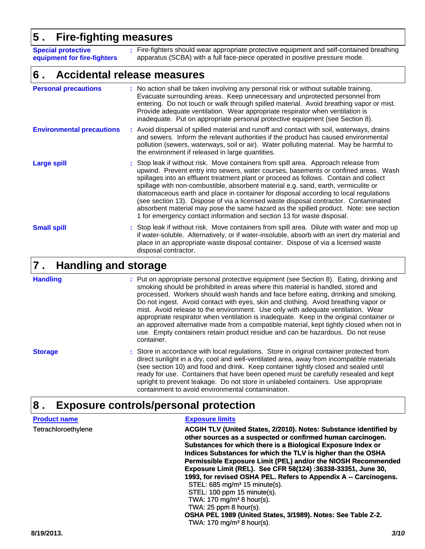### **5 . Fire-fighting measures**

**Special protective equipment for fire-fighters** Fire-fighters should wear appropriate protective equipment and self-contained breathing apparatus (SCBA) with a full face-piece operated in positive pressure mode.

#### **Accidental release measures 6 .**

**:**

| <b>Personal precautions</b>      | : No action shall be taken involving any personal risk or without suitable training.<br>Evacuate surrounding areas. Keep unnecessary and unprotected personnel from<br>entering. Do not touch or walk through spilled material. Avoid breathing vapor or mist.<br>Provide adequate ventilation. Wear appropriate respirator when ventilation is<br>inadequate. Put on appropriate personal protective equipment (see Section 8).                                                                                                                                                                                                                                                                             |
|----------------------------------|--------------------------------------------------------------------------------------------------------------------------------------------------------------------------------------------------------------------------------------------------------------------------------------------------------------------------------------------------------------------------------------------------------------------------------------------------------------------------------------------------------------------------------------------------------------------------------------------------------------------------------------------------------------------------------------------------------------|
| <b>Environmental precautions</b> | : Avoid dispersal of spilled material and runoff and contact with soil, waterways, drains<br>and sewers. Inform the relevant authorities if the product has caused environmental<br>pollution (sewers, waterways, soil or air). Water polluting material. May be harmful to<br>the environment if released in large quantities.                                                                                                                                                                                                                                                                                                                                                                              |
| <b>Large spill</b>               | : Stop leak if without risk. Move containers from spill area. Approach release from<br>upwind. Prevent entry into sewers, water courses, basements or confined areas. Wash<br>spillages into an effluent treatment plant or proceed as follows. Contain and collect<br>spillage with non-combustible, absorbent material e.g. sand, earth, vermiculite or<br>diatomaceous earth and place in container for disposal according to local regulations<br>(see section 13). Dispose of via a licensed waste disposal contractor. Contaminated<br>absorbent material may pose the same hazard as the spilled product. Note: see section<br>1 for emergency contact information and section 13 for waste disposal. |
| <b>Small spill</b>               | : Stop leak if without risk. Move containers from spill area. Dilute with water and mop up<br>if water-soluble. Alternatively, or if water-insoluble, absorb with an inert dry material and<br>place in an appropriate waste disposal container. Dispose of via a licensed waste<br>disposal contractor.                                                                                                                                                                                                                                                                                                                                                                                                     |

#### **Handling and storage 7 .**

**Handling**

Put on appropriate personal protective equipment (see Section 8). Eating, drinking and **:** smoking should be prohibited in areas where this material is handled, stored and processed. Workers should wash hands and face before eating, drinking and smoking. Do not ingest. Avoid contact with eyes, skin and clothing. Avoid breathing vapor or mist. Avoid release to the environment. Use only with adequate ventilation. Wear appropriate respirator when ventilation is inadequate. Keep in the original container or an approved alternative made from a compatible material, kept tightly closed when not in use. Empty containers retain product residue and can be hazardous. Do not reuse container.

Store in accordance with local regulations. Store in original container protected from **:** direct sunlight in a dry, cool and well-ventilated area, away from incompatible materials (see section 10) and food and drink. Keep container tightly closed and sealed until ready for use. Containers that have been opened must be carefully resealed and kept upright to prevent leakage. Do not store in unlabeled containers. Use appropriate containment to avoid environmental contamination. **Storage**

#### **Exposure controls/personal protection 8 .**

| <b>Product name</b> | <b>Exposure limits</b>                                                                                                                                                                                                                                                                                                                                                                                                                                                                                                                                                                                                                                                         |
|---------------------|--------------------------------------------------------------------------------------------------------------------------------------------------------------------------------------------------------------------------------------------------------------------------------------------------------------------------------------------------------------------------------------------------------------------------------------------------------------------------------------------------------------------------------------------------------------------------------------------------------------------------------------------------------------------------------|
| Tetrachloroethylene | ACGIH TLV (United States, 2/2010). Notes: Substance identified by<br>other sources as a suspected or confirmed human carcinogen.<br>Substances for which there is a Biological Exposure Index or<br>Indices Substances for which the TLV is higher than the OSHA<br>Permissible Exposure Limit (PEL) and/or the NIOSH Recommended<br>Exposure Limit (REL). See CFR 58(124) :36338-33351, June 30,<br>1993, for revised OSHA PEL. Refers to Appendix A -- Carcinogens.<br>$STEL: 685 mg/m3 15 minute(s).$<br>STEL: 100 ppm 15 minute(s).<br>TWA: 170 mg/m <sup>3</sup> 8 hour(s).<br>TWA: $25$ ppm $8$ hour(s).<br>OSHA PEL 1989 (United States, 3/1989). Notes: See Table Z-2. |
|                     | TWA: $170 \text{ mg/m}^3$ 8 hour(s).                                                                                                                                                                                                                                                                                                                                                                                                                                                                                                                                                                                                                                           |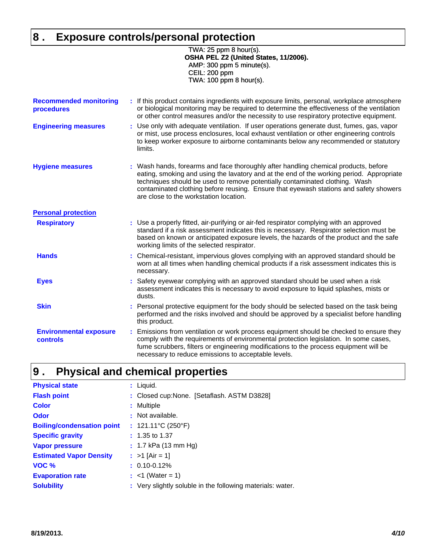# **8 . Exposure controls/personal protection**

 TWA: 25 ppm 8 hour(s). **OSHA PEL Z2 (United States, 11/2006).** AMP: 300 ppm 5 minute(s). CEIL: 200 ppm TWA: 100 ppm 8 hour(s).

| <b>Recommended monitoring</b><br>procedures      | : If this product contains ingredients with exposure limits, personal, workplace atmosphere<br>or biological monitoring may be required to determine the effectiveness of the ventilation<br>or other control measures and/or the necessity to use respiratory protective equipment.                                                                                                              |
|--------------------------------------------------|---------------------------------------------------------------------------------------------------------------------------------------------------------------------------------------------------------------------------------------------------------------------------------------------------------------------------------------------------------------------------------------------------|
| <b>Engineering measures</b>                      | : Use only with adequate ventilation. If user operations generate dust, fumes, gas, vapor<br>or mist, use process enclosures, local exhaust ventilation or other engineering controls<br>to keep worker exposure to airborne contaminants below any recommended or statutory<br>limits.                                                                                                           |
| <b>Hygiene measures</b>                          | : Wash hands, forearms and face thoroughly after handling chemical products, before<br>eating, smoking and using the lavatory and at the end of the working period. Appropriate<br>techniques should be used to remove potentially contaminated clothing. Wash<br>contaminated clothing before reusing. Ensure that eyewash stations and safety showers<br>are close to the workstation location. |
| <b>Personal protection</b>                       |                                                                                                                                                                                                                                                                                                                                                                                                   |
| <b>Respiratory</b>                               | : Use a properly fitted, air-purifying or air-fed respirator complying with an approved<br>standard if a risk assessment indicates this is necessary. Respirator selection must be<br>based on known or anticipated exposure levels, the hazards of the product and the safe<br>working limits of the selected respirator.                                                                        |
| <b>Hands</b>                                     | Chemical-resistant, impervious gloves complying with an approved standard should be<br>worn at all times when handling chemical products if a risk assessment indicates this is<br>necessary.                                                                                                                                                                                                     |
| <b>Eyes</b>                                      | Safety eyewear complying with an approved standard should be used when a risk<br>assessment indicates this is necessary to avoid exposure to liquid splashes, mists or<br>dusts.                                                                                                                                                                                                                  |
| <b>Skin</b>                                      | Personal protective equipment for the body should be selected based on the task being<br>performed and the risks involved and should be approved by a specialist before handling<br>this product.                                                                                                                                                                                                 |
| <b>Environmental exposure</b><br><b>controls</b> | Emissions from ventilation or work process equipment should be checked to ensure they<br>comply with the requirements of environmental protection legislation. In some cases,<br>fume scrubbers, filters or engineering modifications to the process equipment will be<br>necessary to reduce emissions to acceptable levels.                                                                     |

#### **Physical and chemical properties 9 .**

| <b>Physical state</b>             | : Liquid.                                                  |
|-----------------------------------|------------------------------------------------------------|
| <b>Flash point</b>                | : Closed cup:None. [Setaflash. ASTM D3828]                 |
| <b>Color</b>                      | : Multiple                                                 |
| Odor                              | : Not available.                                           |
| <b>Boiling/condensation point</b> | : $121.11^{\circ}C(250^{\circ}F)$                          |
| <b>Specific gravity</b>           | $: 1.35$ to 1.37                                           |
| <b>Vapor pressure</b>             | $: 1.7$ kPa (13 mm Hg)                                     |
| <b>Estimated Vapor Density</b>    | : $>1$ [Air = 1]                                           |
| VOC %                             | $: 0.10 - 0.12\%$                                          |
| <b>Evaporation rate</b>           | : $<$ 1 (Water = 1)                                        |
| <b>Solubility</b>                 | : Very slightly soluble in the following materials: water. |
|                                   |                                                            |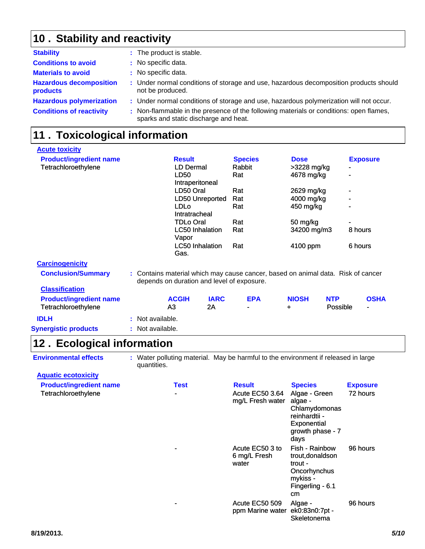## 10 . Stability and reactivity

| <b>Stability</b>                           | : The product is stable.                                                                                                        |
|--------------------------------------------|---------------------------------------------------------------------------------------------------------------------------------|
| <b>Conditions to avoid</b>                 | : No specific data.                                                                                                             |
| <b>Materials to avoid</b>                  | : No specific data.                                                                                                             |
| <b>Hazardous decomposition</b><br>products | : Under normal conditions of storage and use, hazardous decomposition products should<br>not be produced.                       |
| <b>Hazardous polymerization</b>            | : Under normal conditions of storage and use, hazardous polymerization will not occur.                                          |
| <b>Conditions of reactivity</b>            | : Non-flammable in the presence of the following materials or conditions: open flames,<br>sparks and static discharge and heat. |

## **Toxicological information 11 .**

| <b>Acute toxicity</b>                                 |  |                                                                                                                                |                                 |                   |                |           |                           |                        |         |                 |
|-------------------------------------------------------|--|--------------------------------------------------------------------------------------------------------------------------------|---------------------------------|-------------------|----------------|-----------|---------------------------|------------------------|---------|-----------------|
| <b>Product/ingredient name</b>                        |  |                                                                                                                                | <b>Result</b>                   |                   | <b>Species</b> |           | <b>Dose</b>               |                        |         | <b>Exposure</b> |
| Tetrachloroethylene                                   |  |                                                                                                                                | LD Dermal                       |                   | Rabbit         |           | >3228 mg/kg               |                        |         |                 |
|                                                       |  |                                                                                                                                | LD50<br>Intraperitoneal         |                   | Rat            |           | 4678 mg/kg                |                        |         |                 |
|                                                       |  |                                                                                                                                | LD50 Oral                       |                   | Rat            |           | 2629 mg/kg                |                        |         |                 |
|                                                       |  |                                                                                                                                |                                 | LD50 Unreported   | Rat            |           | 4000 mg/kg                |                        |         |                 |
|                                                       |  | <b>LDLo</b><br>Intratracheal                                                                                                   |                                 |                   |                | 450 mg/kg |                           |                        |         |                 |
|                                                       |  | <b>TDLo Oral</b>                                                                                                               |                                 |                   | Rat            |           | 50 mg/kg                  |                        |         |                 |
|                                                       |  |                                                                                                                                | <b>LC50 Inhalation</b><br>Vapor |                   | Rat            |           | 34200 mg/m3<br>8 hours    |                        |         |                 |
|                                                       |  |                                                                                                                                | <b>LC50</b> Inhalation<br>Gas.  |                   | Rat            |           | 4100 ppm                  |                        | 6 hours |                 |
| <b>Carcinogenicity</b>                                |  |                                                                                                                                |                                 |                   |                |           |                           |                        |         |                 |
| <b>Conclusion/Summary</b>                             |  | : Contains material which may cause cancer, based on animal data. Risk of cancer<br>depends on duration and level of exposure. |                                 |                   |                |           |                           |                        |         |                 |
| <b>Classification</b>                                 |  |                                                                                                                                |                                 |                   |                |           |                           |                        |         |                 |
| <b>Product/ingredient name</b><br>Tetrachloroethylene |  |                                                                                                                                | <b>ACGIH</b><br>A3              | <b>IARC</b><br>2A | <b>EPA</b>     |           | <b>NIOSH</b><br>$\ddot{}$ | <b>NTP</b><br>Possible |         | <b>OSHA</b>     |
| <b>IDLH</b>                                           |  | : Not available.                                                                                                               |                                 |                   |                |           |                           |                        |         |                 |
| <b>Synergistic products</b>                           |  | : Not available.                                                                                                               |                                 |                   |                |           |                           |                        |         |                 |

### 12. Ecological information

**Environmental effects** : Water polluting material. May be harmful to the environment if released in large quantities.

| <b>Aquatic ecotoxicity</b>                            |                        |                                                             |                                                                                                                         |                             |
|-------------------------------------------------------|------------------------|-------------------------------------------------------------|-------------------------------------------------------------------------------------------------------------------------|-----------------------------|
| <b>Product/ingredient name</b><br>Tetrachloroethylene | Test<br>$\blacksquare$ | <b>Result</b><br><b>Acute EC50 3.64</b><br>mg/L Fresh water | <b>Species</b><br>Algae - Green<br>algae -<br>Chlamydomonas<br>reinhardtii -<br>Exponential<br>growth phase - 7<br>days | <b>Exposure</b><br>72 hours |
|                                                       |                        | Acute EC50 3 to<br>6 mg/L Fresh<br>water                    | Fish - Rainbow<br>trout, donaldson<br>trout -<br>Oncorhynchus<br>mykiss -<br>Fingerling - 6.1<br>cm                     | 96 hours                    |
|                                                       |                        | Acute EC50 509<br>ppm Marine water ek0:83n0:7pt -           | Algae -<br>Skeletonema                                                                                                  | 96 hours                    |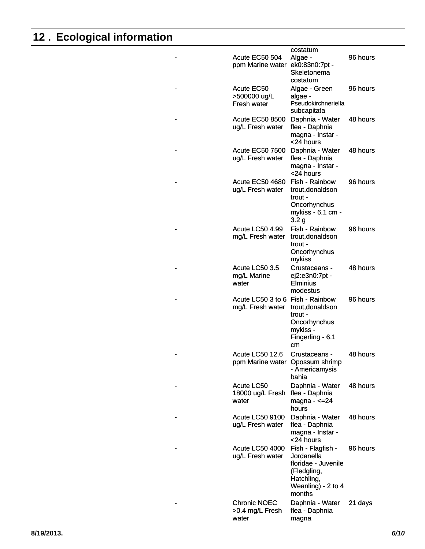# **12 . Ecological information**

|   | Acute EC50 504<br>ppm Marine water ek0:83n0:7pt -    | costatum<br>Algae -<br>Skeletonema<br>costatum                                                                      | 96 hours |
|---|------------------------------------------------------|---------------------------------------------------------------------------------------------------------------------|----------|
|   | Acute EC50<br>>500000 ug/L<br>Fresh water            | Algae - Green<br>algae -<br>Pseudokirchneriella<br>subcapitata                                                      | 96 hours |
|   | <b>Acute EC50 8500</b><br>ug/L Fresh water           | Daphnia - Water<br>flea - Daphnia<br>magna - Instar -<br><24 hours                                                  | 48 hours |
| - | <b>Acute EC50 7500</b><br>ug/L Fresh water           | Daphnia - Water<br>flea - Daphnia<br>magna - Instar -<br><24 hours                                                  | 48 hours |
|   | <b>Acute EC50 4680</b><br>ug/L Fresh water           | Fish - Rainbow<br>trout, donaldson<br>trout -<br>Oncorhynchus<br>mykiss - 6.1 cm -<br>3.2 <sub>g</sub>              | 96 hours |
|   | <b>Acute LC50 4.99</b><br>mg/L Fresh water           | Fish - Rainbow<br>trout, donaldson<br>trout -<br>Oncorhynchus<br>mykiss                                             | 96 hours |
|   | Acute LC50 3.5<br>mg/L Marine<br>water               | Crustaceans -<br>ej2:e3n0:7pt -<br><b>Elminius</b><br>modestus                                                      | 48 hours |
|   | Acute LC50 3 to 6 Fish - Rainbow<br>mg/L Fresh water | trout, donaldson<br>trout -<br>Oncorhynchus<br>mykiss -<br>Fingerling - 6.1<br>cm                                   | 96 hours |
|   | Acute LC50 12.6<br>ppm Marine water Opossum shrimp   | Crustaceans -<br>- Americamysis<br>bahia                                                                            | 48 hours |
|   | Acute LC50<br>18000 ug/L Fresh<br>water              | Daphnia - Water<br>flea - Daphnia<br>magna - $\leq$ 24<br>hours                                                     | 48 hours |
|   | <b>Acute LC50 9100</b><br>ug/L Fresh water           | Daphnia - Water<br>flea - Daphnia<br>magna - Instar -<br><24 hours                                                  | 48 hours |
|   | Acute LC50 4000<br>ug/L Fresh water                  | Fish - Flagfish -<br>Jordanella<br>floridae - Juvenile<br>(Fledgling,<br>Hatchling,<br>Weanling) - 2 to 4<br>months | 96 hours |
|   | <b>Chronic NOEC</b><br>>0.4 mg/L Fresh<br>water      | Daphnia - Water<br>flea - Daphnia<br>magna                                                                          | 21 days  |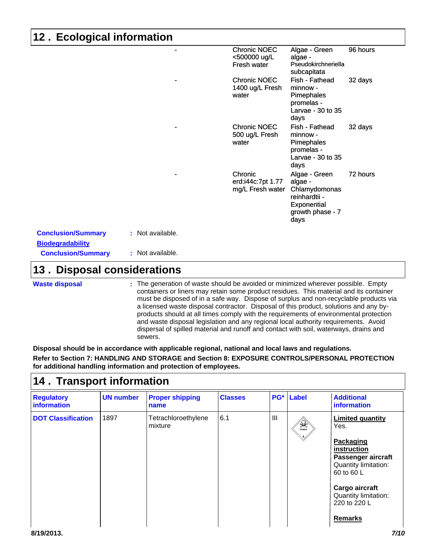## **12 . Ecological information**

| <b>Chronic NOEC</b><br><500000 ug/L              | Algae - Green<br>algae -                                                                              | 96 hours |
|--------------------------------------------------|-------------------------------------------------------------------------------------------------------|----------|
| Fresh water                                      | Pseudokirchneriella<br>subcapitata                                                                    |          |
| Chronic NOEC<br>1400 ug/L Fresh<br>water         | Fish - Fathead<br>minnow -<br>Pimephales<br>promelas -<br>Larvae - 30 to 35<br>days                   | 32 days  |
| <b>Chronic NOEC</b><br>500 ug/L Fresh<br>water   | Fish - Fathead<br>minnow -<br>Pimephales<br>promelas -<br>Larvae - 30 to 35<br>days                   | 32 days  |
| Chronic<br>erd:i44c:7pt 1.77<br>mg/L Fresh water | Algae - Green<br>algae -<br>Chlamydomonas<br>reinhardtii -<br>Exponential<br>growth phase - 7<br>days | 72 hours |

| <b>Conclusion/Summary</b> | : Not available. |
|---------------------------|------------------|
| <b>Biodegradability</b>   |                  |
| <b>Conclusion/Summary</b> | : Not available. |

### **13. Disposal considerations**

|  | <b>Waste disposal</b> |
|--|-----------------------|

The generation of waste should be avoided or minimized wherever possible. Empty **:** containers or liners may retain some product residues. This material and its container must be disposed of in a safe way. Dispose of surplus and non-recyclable products via a licensed waste disposal contractor. Disposal of this product, solutions and any byproducts should at all times comply with the requirements of environmental protection and waste disposal legislation and any regional local authority requirements. Avoid dispersal of spilled material and runoff and contact with soil, waterways, drains and sewers.

**Disposal should be in accordance with applicable regional, national and local laws and regulations. Refer to Section 7: HANDLING AND STORAGE and Section 8: EXPOSURE CONTROLS/PERSONAL PROTECTION for additional handling information and protection of employees.**

## **Transport information 14 .**

| <b>Regulatory</b><br>information | <b>UN number</b> | <b>Proper shipping</b><br>name | <b>Classes</b> | $PG*$ | <b>Label</b> | <b>Additional</b><br><b>information</b>                                                                                                                                                             |
|----------------------------------|------------------|--------------------------------|----------------|-------|--------------|-----------------------------------------------------------------------------------------------------------------------------------------------------------------------------------------------------|
| <b>DOT Classification</b>        | 1897             | Tetrachloroethylene<br>mixture | 6.1            | Ш     | $\mathbb{R}$ | <b>Limited quantity</b><br>Yes.<br>Packaging<br>instruction<br>Passenger aircraft<br>Quantity limitation:<br>60 to 60 L<br>Cargo aircraft<br>Quantity limitation:<br>220 to 220 L<br><b>Remarks</b> |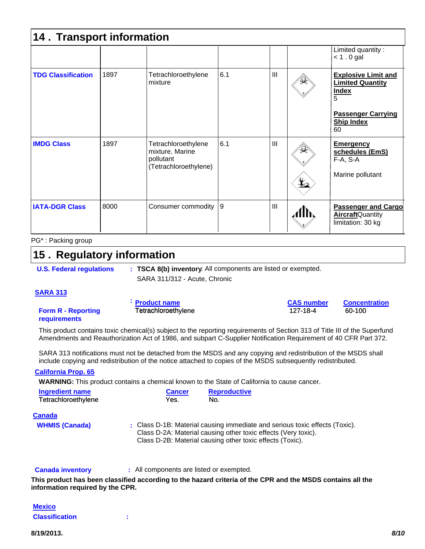| 14. Transport information |      |                                                                              |     |     |                    |                                                                            |
|---------------------------|------|------------------------------------------------------------------------------|-----|-----|--------------------|----------------------------------------------------------------------------|
|                           |      |                                                                              |     |     |                    | Limited quantity:<br>$< 1.0$ gal                                           |
| <b>TDG Classification</b> | 1897 | Tetrachloroethylene<br>mixture                                               | 6.1 | III |                    | <b>Explosive Limit and</b><br><b>Limited Quantity</b><br><b>Index</b><br>5 |
|                           |      |                                                                              |     |     |                    | <b>Passenger Carrying</b><br><b>Ship Index</b><br>60                       |
| <b>IMDG Class</b>         | 1897 | Tetrachloroethylene<br>mixture, Marine<br>pollutant<br>(Tetrachloroethylene) | 6.1 | III | $\mathcal{A}$<br>t | <b>Emergency</b><br>schedules (EmS)<br>F-A, S-A<br>Marine pollutant        |
| <b>IATA-DGR Class</b>     | 8000 | Consumer commodity                                                           | 9   | III |                    | <b>Passenger and Cargo</b><br><b>AircraftQuantity</b><br>limitation: 30 kg |

#### PG\* : Packing group

### **15. Regulatory information**

**U.S. Federal regulations**

**: TSCA 8(b) inventory**: All components are listed or exempted.

SARA 311/312 - Acute, Chronic

#### **SARA 313**

**Form R - Reporting requirements**

**Product name CAS number Concentration :**

This product contains toxic chemical(s) subject to the reporting requirements of Section 313 of Title III of the Superfund Amendments and Reauthorization Act of 1986, and subpart C-Supplier Notification Requirement of 40 CFR Part 372.

SARA 313 notifications must not be detached from the MSDS and any copying and redistribution of the MSDS shall include copying and redistribution of the notice attached to copies of the MSDS subsequently redistributed.

#### **California Prop. 65**

**WARNING:** This product contains a chemical known to the State of California to cause cancer.

| <b>Ingredient name</b> | <b>Cancer</b> | <b>Reproductive</b> |
|------------------------|---------------|---------------------|
| Tetrachloroethylene    | Yes.          | No.                 |

#### **Canada**

**WHMIS (Canada)** : Class D-1B: Material causing immediate and serious toxic effects (Toxic). Class D-2A: Material causing other toxic effects (Very toxic). Class D-2B: Material causing other toxic effects (Toxic).

**Canada inventory :** All components are listed or exempted.

**This product has been classified according to the hazard criteria of the CPR and the MSDS contains all the information required by the CPR.**

| <b>Mexico</b>         |  |
|-----------------------|--|
| <b>Classification</b> |  |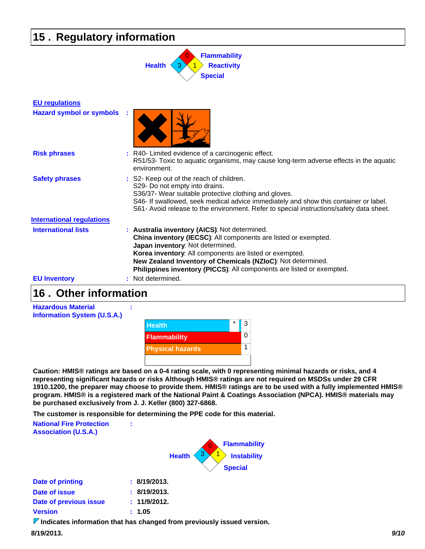## **15 . Regulatory information**



| <b>EU</b> regulations            |                                                                                                                                                                                                                                                                                                                                                         |
|----------------------------------|---------------------------------------------------------------------------------------------------------------------------------------------------------------------------------------------------------------------------------------------------------------------------------------------------------------------------------------------------------|
| <b>Hazard symbol or symbols</b>  |                                                                                                                                                                                                                                                                                                                                                         |
| <b>Risk phrases</b>              | R40- Limited evidence of a carcinogenic effect.<br>R51/53- Toxic to aquatic organisms, may cause long-term adverse effects in the aquatic<br>environment.                                                                                                                                                                                               |
| <b>Safety phrases</b>            | : S2- Keep out of the reach of children.<br>S29- Do not empty into drains.<br>S36/37- Wear suitable protective clothing and gloves.<br>S46- If swallowed, seek medical advice immediately and show this container or label.<br>S61- Avoid release to the environment. Refer to special instructions/safety data sheet.                                  |
| <b>International regulations</b> |                                                                                                                                                                                                                                                                                                                                                         |
| <b>International lists</b>       | : Australia inventory (AICS): Not determined.<br>China inventory (IECSC): All components are listed or exempted.<br>Japan inventory: Not determined.<br>Korea inventory: All components are listed or exempted.<br>New Zealand Inventory of Chemicals (NZIoC): Not determined.<br>Philippines inventory (PICCS): All components are listed or exempted. |
| <b>EU Inventory</b>              | Not determined.                                                                                                                                                                                                                                                                                                                                         |

### **Other information 16 .**



**Caution: HMIS® ratings are based on a 0-4 rating scale, with 0 representing minimal hazards or risks, and 4 representing significant hazards or risks Although HMIS® ratings are not required on MSDSs under 29 CFR 1910.1200, the preparer may choose to provide them. HMIS® ratings are to be used with a fully implemented HMIS® program. HMIS® is a registered mark of the National Paint & Coatings Association (NPCA). HMIS® materials may be purchased exclusively from J. J. Keller (800) 327-6868.**

**The customer is responsible for determining the PPE code for this material.**

| <b>National Fire Protection</b><br><b>Association (U.S.A.)</b> | ÷                                                                                                    |
|----------------------------------------------------------------|------------------------------------------------------------------------------------------------------|
|                                                                | <b>Flammability</b><br><b>Instability</b><br><b>Health</b><br><b>Special</b>                         |
| <b>Date of printing</b>                                        | : 8/19/2013.                                                                                         |
| Date of issue                                                  | : 8/19/2013.                                                                                         |
| Date of previous issue                                         | : 11/9/2012.                                                                                         |
| <b>Version</b>                                                 | : 1.05                                                                                               |
|                                                                | 17 F 200 F 200 F 200 F 200 F 200 F 200 F 200 F 200 F 200 F 200 F 200 F 200 F 200 F 200 F 200 F 200 F |

*I* Indicates information that has changed from previously issued version.

**8/19/2013.** *9/10*